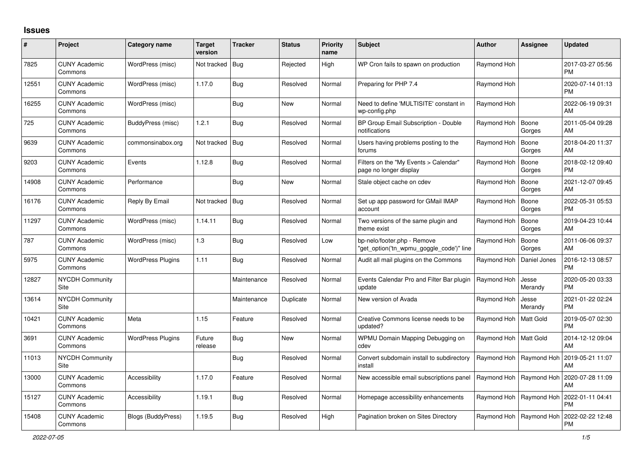## **Issues**

| #     | Project                         | Category name            | <b>Target</b><br>version | <b>Tracker</b> | <b>Status</b> | <b>Priority</b><br>name | <b>Subject</b>                                                          | <b>Author</b> | Assignee         | <b>Updated</b>                |
|-------|---------------------------------|--------------------------|--------------------------|----------------|---------------|-------------------------|-------------------------------------------------------------------------|---------------|------------------|-------------------------------|
| 7825  | <b>CUNY Academic</b><br>Commons | WordPress (misc)         | Not tracked   Bug        |                | Rejected      | High                    | WP Cron fails to spawn on production                                    | Raymond Hoh   |                  | 2017-03-27 05:56<br><b>PM</b> |
| 12551 | <b>CUNY Academic</b><br>Commons | WordPress (misc)         | 1.17.0                   | Bug            | Resolved      | Normal                  | Preparing for PHP 7.4                                                   | Raymond Hoh   |                  | 2020-07-14 01:13<br>PM.       |
| 16255 | <b>CUNY Academic</b><br>Commons | WordPress (misc)         |                          | <b>Bug</b>     | <b>New</b>    | Normal                  | Need to define 'MULTISITE' constant in<br>wp-config.php                 | Raymond Hoh   |                  | 2022-06-19 09:31<br>AM        |
| 725   | <b>CUNY Academic</b><br>Commons | BuddyPress (misc)        | 1.2.1                    | <b>Bug</b>     | Resolved      | Normal                  | BP Group Email Subscription - Double<br>notifications                   | Raymond Hoh   | Boone<br>Gorges  | 2011-05-04 09:28<br>AM        |
| 9639  | <b>CUNY Academic</b><br>Commons | commonsinabox.org        | Not tracked   Bug        |                | Resolved      | Normal                  | Users having problems posting to the<br>forums                          | Raymond Hoh   | Boone<br>Gorges  | 2018-04-20 11:37<br>AM        |
| 9203  | <b>CUNY Academic</b><br>Commons | Events                   | 1.12.8                   | Bug            | Resolved      | Normal                  | Filters on the "My Events > Calendar"<br>page no longer display         | Raymond Hoh   | Boone<br>Gorges  | 2018-02-12 09:40<br><b>PM</b> |
| 14908 | <b>CUNY Academic</b><br>Commons | Performance              |                          | <b>Bug</b>     | <b>New</b>    | Normal                  | Stale object cache on cdev                                              | Raymond Hoh   | Boone<br>Gorges  | 2021-12-07 09:45<br>AM        |
| 16176 | <b>CUNY Academic</b><br>Commons | Reply By Email           | Not tracked   Bug        |                | Resolved      | Normal                  | Set up app password for GMail IMAP<br>account                           | Raymond Hoh   | Boone<br>Gorges  | 2022-05-31 05:53<br>PM.       |
| 11297 | <b>CUNY Academic</b><br>Commons | WordPress (misc)         | 1.14.11                  | Bug            | Resolved      | Normal                  | Two versions of the same plugin and<br>theme exist                      | Raymond Hoh   | Boone<br>Gorges  | 2019-04-23 10:44<br>AM        |
| 787   | <b>CUNY Academic</b><br>Commons | WordPress (misc)         | 1.3                      | Bug            | Resolved      | Low                     | bp-nelo/footer.php - Remove<br>"get_option('tn_wpmu_goggle_code')" line | Raymond Hoh   | Boone<br>Gorges  | 2011-06-06 09:37<br>AM        |
| 5975  | <b>CUNY Academic</b><br>Commons | <b>WordPress Plugins</b> | 1.11                     | Bug            | Resolved      | Normal                  | Audit all mail plugins on the Commons                                   | Raymond Hoh   | Daniel Jones     | 2016-12-13 08:57<br><b>PM</b> |
| 12827 | <b>NYCDH Community</b><br>Site  |                          |                          | Maintenance    | Resolved      | Normal                  | Events Calendar Pro and Filter Bar plugin<br>update                     | Raymond Hoh   | Jesse<br>Merandy | 2020-05-20 03:33<br><b>PM</b> |
| 13614 | NYCDH Community<br>Site         |                          |                          | Maintenance    | Duplicate     | Normal                  | New version of Avada                                                    | Raymond Hoh   | Jesse<br>Merandy | 2021-01-22 02:24<br>PM        |
| 10421 | <b>CUNY Academic</b><br>Commons | Meta                     | 1.15                     | Feature        | Resolved      | Normal                  | Creative Commons license needs to be<br>updated?                        | Raymond Hoh   | Matt Gold        | 2019-05-07 02:30<br><b>PM</b> |
| 3691  | <b>CUNY Academic</b><br>Commons | <b>WordPress Plugins</b> | Future<br>release        | Bug            | <b>New</b>    | Normal                  | WPMU Domain Mapping Debugging on<br>cdev                                | Raymond Hoh   | Matt Gold        | 2014-12-12 09:04<br>AM        |
| 11013 | <b>NYCDH Community</b><br>Site  |                          |                          | <b>Bug</b>     | Resolved      | Normal                  | Convert subdomain install to subdirectory<br>install                    | Raymond Hoh   | Raymond Hoh      | 2019-05-21 11:07<br>AM        |
| 13000 | <b>CUNY Academic</b><br>Commons | Accessibility            | 1.17.0                   | Feature        | Resolved      | Normal                  | New accessible email subscriptions panel                                | Raymond Hoh   | Raymond Hoh      | 2020-07-28 11:09<br>AM        |
| 15127 | <b>CUNY Academic</b><br>Commons | Accessibility            | 1.19.1                   | Bug            | Resolved      | Normal                  | Homepage accessibility enhancements                                     | Raymond Hoh   | Raymond Hoh      | 2022-01-11 04:41<br><b>PM</b> |
| 15408 | <b>CUNY Academic</b><br>Commons | Blogs (BuddyPress)       | 1.19.5                   | Bug            | Resolved      | High                    | Pagination broken on Sites Directory                                    | Raymond Hoh   | Raymond Hoh      | 2022-02-22 12:48<br><b>PM</b> |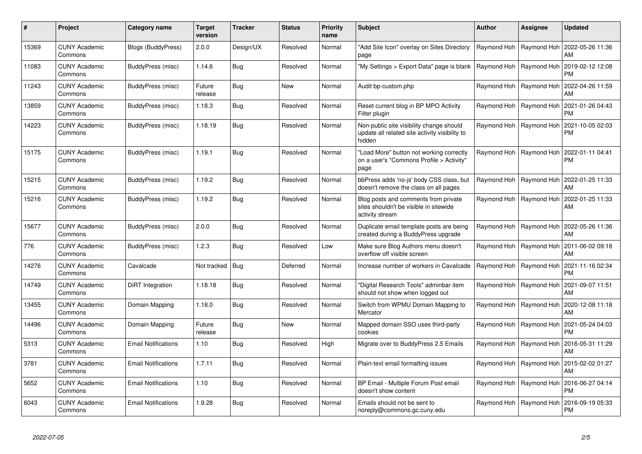| $\#$  | Project                         | Category name              | <b>Target</b><br>version | <b>Tracker</b> | <b>Status</b> | <b>Priority</b><br>name | <b>Subject</b>                                                                                       | <b>Author</b> | Assignee                  | <b>Updated</b>                                            |
|-------|---------------------------------|----------------------------|--------------------------|----------------|---------------|-------------------------|------------------------------------------------------------------------------------------------------|---------------|---------------------------|-----------------------------------------------------------|
| 15369 | <b>CUNY Academic</b><br>Commons | <b>Blogs (BuddyPress)</b>  | 2.0.0                    | Design/UX      | Resolved      | Normal                  | 'Add Site Icon" overlay on Sites Directory<br>page                                                   |               | Raymond Hoh   Raymond Hoh | 2022-05-26 11:36<br>AM                                    |
| 11083 | <b>CUNY Academic</b><br>Commons | BuddyPress (misc)          | 1.14.6                   | <b>Bug</b>     | Resolved      | Normal                  | 'My Settings > Export Data" page is blank                                                            |               | Raymond Hoh   Raymond Hoh | 2019-02-12 12:08<br><b>PM</b>                             |
| 11243 | <b>CUNY Academic</b><br>Commons | BuddyPress (misc)          | Future<br>release        | <b>Bug</b>     | <b>New</b>    | Normal                  | Audit bp-custom.php                                                                                  |               | Raymond Hoh   Raymond Hoh | 2022-04-26 11:59<br>AM                                    |
| 13859 | <b>CUNY Academic</b><br>Commons | BuddyPress (misc)          | 1.18.3                   | Bug            | Resolved      | Normal                  | Reset current blog in BP MPO Activity<br>Filter plugin                                               |               | Raymond Hoh   Raymond Hoh | 2021-01-26 04:43<br><b>PM</b>                             |
| 14223 | <b>CUNY Academic</b><br>Commons | BuddyPress (misc)          | 1.18.19                  | Bug            | Resolved      | Normal                  | Non-public site visibility change should<br>update all related site activity visibility to<br>hidden |               | Raymond Hoh   Raymond Hoh | 2021-10-05 02:03<br><b>PM</b>                             |
| 15175 | <b>CUNY Academic</b><br>Commons | BuddyPress (misc)          | 1.19.1                   | <b>Bug</b>     | Resolved      | Normal                  | 'Load More" button not working correctly<br>on a user's "Commons Profile > Activity"<br>page         |               |                           | Raymond Hoh   Raymond Hoh   2022-01-11 04:41<br><b>PM</b> |
| 15215 | <b>CUNY Academic</b><br>Commons | BuddyPress (misc)          | 1.19.2                   | <b>Bug</b>     | Resolved      | Normal                  | bbPress adds 'no-js' body CSS class, but<br>doesn't remove the class on all pages                    |               | Raymond Hoh   Raymond Hoh | 2022-01-25 11:33<br>AM                                    |
| 15216 | <b>CUNY Academic</b><br>Commons | BuddyPress (misc)          | 1.19.2                   | <b>Bug</b>     | Resolved      | Normal                  | Blog posts and comments from private<br>sites shouldn't be visible in sitewide<br>activity stream    |               | Raymond Hoh   Raymond Hoh | 2022-01-25 11:33<br>AM                                    |
| 15677 | <b>CUNY Academic</b><br>Commons | BuddyPress (misc)          | 2.0.0                    | Bug            | Resolved      | Normal                  | Duplicate email template posts are being<br>created during a BuddyPress upgrade                      |               |                           | Raymond Hoh   Raymond Hoh   2022-05-26 11:36<br>AM        |
| 776   | <b>CUNY Academic</b><br>Commons | BuddyPress (misc)          | 1.2.3                    | Bug            | Resolved      | Low                     | Make sure Blog Authors menu doesn't<br>overflow off visible screen                                   |               | Raymond Hoh   Raymond Hoh | 2011-06-02 09:18<br>AM                                    |
| 14276 | <b>CUNY Academic</b><br>Commons | Cavalcade                  | Not tracked Bug          |                | Deferred      | Normal                  | Increase number of workers in Cavalcade                                                              |               | Raymond Hoh   Raymond Hoh | 2021-11-16 02:34<br><b>PM</b>                             |
| 14749 | <b>CUNY Academic</b><br>Commons | DiRT Integration           | 1.18.18                  | <b>Bug</b>     | Resolved      | Normal                  | 'Digital Research Tools" adminbar item<br>should not show when logged out                            |               | Raymond Hoh   Raymond Hoh | 2021-09-07 11:51<br>AM                                    |
| 13455 | <b>CUNY Academic</b><br>Commons | Domain Mapping             | 1.18.0                   | Bug            | Resolved      | Normal                  | Switch from WPMU Domain Mapping to<br>Mercator                                                       |               | Raymond Hoh   Raymond Hoh | 2020-12-08 11:18<br>AM                                    |
| 14496 | <b>CUNY Academic</b><br>Commons | Domain Mapping             | Future<br>release        | <b>Bug</b>     | <b>New</b>    | Normal                  | Mapped domain SSO uses third-party<br>cookies                                                        |               | Raymond Hoh   Raymond Hoh | 2021-05-24 04:03<br><b>PM</b>                             |
| 5313  | <b>CUNY Academic</b><br>Commons | <b>Email Notifications</b> | 1.10                     | <b>Bug</b>     | Resolved      | High                    | Migrate over to BuddyPress 2.5 Emails                                                                |               | Raymond Hoh   Raymond Hoh | 2016-05-31 11:29<br>AM                                    |
| 3781  | <b>CUNY Academic</b><br>Commons | <b>Email Notifications</b> | 1.7.11                   | Bug            | Resolved      | Normal                  | Plain-text email formatting issues                                                                   |               |                           | Raymond Hoh   Raymond Hoh   2015-02-02 01:27<br>AM        |
| 5652  | <b>CUNY Academic</b><br>Commons | <b>Email Notifications</b> | 1.10                     | <b>Bug</b>     | Resolved      | Normal                  | BP Email - Multiple Forum Post email<br>doesn't show content                                         |               | Raymond Hoh   Raymond Hoh | 2016-06-27 04:14<br><b>PM</b>                             |
| 6043  | <b>CUNY Academic</b><br>Commons | <b>Email Notifications</b> | 1.9.28                   | <b>Bug</b>     | Resolved      | Normal                  | Emails should not be sent to<br>noreply@commons.gc.cuny.edu                                          |               | Raymond Hoh   Raymond Hoh | 2016-09-19 05:33<br><b>PM</b>                             |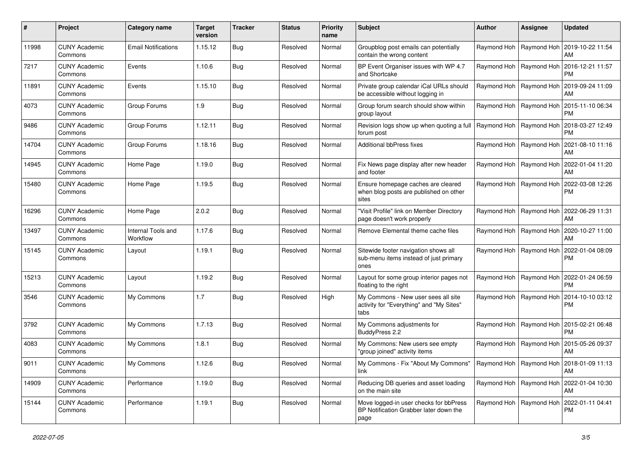| #     | Project                         | Category name                  | <b>Target</b><br>version | <b>Tracker</b> | <b>Status</b> | <b>Priority</b><br>name | Subject                                                                                    | <b>Author</b>             | <b>Assignee</b>           | <b>Updated</b>                                            |
|-------|---------------------------------|--------------------------------|--------------------------|----------------|---------------|-------------------------|--------------------------------------------------------------------------------------------|---------------------------|---------------------------|-----------------------------------------------------------|
| 11998 | <b>CUNY Academic</b><br>Commons | <b>Email Notifications</b>     | 1.15.12                  | Bug            | Resolved      | Normal                  | Groupblog post emails can potentially<br>contain the wrong content                         |                           |                           | Raymond Hoh   Raymond Hoh   2019-10-22 11:54<br>AM        |
| 7217  | <b>CUNY Academic</b><br>Commons | Events                         | 1.10.6                   | <b>Bug</b>     | Resolved      | Normal                  | BP Event Organiser issues with WP 4.7<br>and Shortcake                                     |                           |                           | Raymond Hoh   Raymond Hoh   2016-12-21 11:57<br><b>PM</b> |
| 11891 | <b>CUNY Academic</b><br>Commons | Events                         | 1.15.10                  | <b>Bug</b>     | Resolved      | Normal                  | Private group calendar iCal URLs should<br>be accessible without logging in                |                           | Raymond Hoh   Raymond Hoh | 2019-09-24 11:09<br>AM                                    |
| 4073  | <b>CUNY Academic</b><br>Commons | Group Forums                   | 1.9                      | <b>Bug</b>     | Resolved      | Normal                  | Group forum search should show within<br>group layout                                      |                           | Raymond Hoh   Raymond Hoh | 2015-11-10 06:34<br><b>PM</b>                             |
| 9486  | <b>CUNY Academic</b><br>Commons | Group Forums                   | 1.12.11                  | <b>Bug</b>     | Resolved      | Normal                  | Revision logs show up when quoting a full<br>forum post                                    | Raymond Hoh   Raymond Hoh |                           | 2018-03-27 12:49<br><b>PM</b>                             |
| 14704 | <b>CUNY Academic</b><br>Commons | Group Forums                   | 1.18.16                  | <b>Bug</b>     | Resolved      | Normal                  | Additional bbPress fixes                                                                   |                           |                           | Raymond Hoh   Raymond Hoh   2021-08-10 11:16<br>AM        |
| 14945 | <b>CUNY Academic</b><br>Commons | Home Page                      | 1.19.0                   | <b>Bug</b>     | Resolved      | Normal                  | Fix News page display after new header<br>and footer                                       |                           | Raymond Hoh   Raymond Hoh | 2022-01-04 11:20<br>AM                                    |
| 15480 | <b>CUNY Academic</b><br>Commons | Home Page                      | 1.19.5                   | Bug            | Resolved      | Normal                  | Ensure homepage caches are cleared<br>when blog posts are published on other<br>sites      |                           | Raymond Hoh   Raymond Hoh | 2022-03-08 12:26<br><b>PM</b>                             |
| 16296 | <b>CUNY Academic</b><br>Commons | Home Page                      | 2.0.2                    | <b>Bug</b>     | Resolved      | Normal                  | "Visit Profile" link on Member Directory<br>page doesn't work properly                     |                           |                           | Raymond Hoh   Raymond Hoh   2022-06-29 11:31<br>AM        |
| 13497 | <b>CUNY Academic</b><br>Commons | Internal Tools and<br>Workflow | 1.17.6                   | <b>Bug</b>     | Resolved      | Normal                  | Remove Elemental theme cache files                                                         |                           | Raymond Hoh   Raymond Hoh | 2020-10-27 11:00<br>AM                                    |
| 15145 | <b>CUNY Academic</b><br>Commons | Layout                         | 1.19.1                   | <b>Bug</b>     | Resolved      | Normal                  | Sitewide footer navigation shows all<br>sub-menu items instead of just primary<br>ones     |                           | Raymond Hoh   Raymond Hoh | 2022-01-04 08:09<br><b>PM</b>                             |
| 15213 | <b>CUNY Academic</b><br>Commons | Layout                         | 1.19.2                   | Bug            | Resolved      | Normal                  | Layout for some group interior pages not<br>floating to the right                          |                           | Raymond Hoh   Raymond Hoh | 2022-01-24 06:59<br><b>PM</b>                             |
| 3546  | <b>CUNY Academic</b><br>Commons | My Commons                     | 1.7                      | <b>Bug</b>     | Resolved      | High                    | My Commons - New user sees all site<br>activity for "Everything" and "My Sites"<br>tabs    |                           | Raymond Hoh   Raymond Hoh | 2014-10-10 03:12<br>PM.                                   |
| 3792  | <b>CUNY Academic</b><br>Commons | My Commons                     | 1.7.13                   | <b>Bug</b>     | Resolved      | Normal                  | My Commons adjustments for<br>BuddyPress 2.2                                               |                           | Raymond Hoh   Raymond Hoh | 2015-02-21 06:48<br><b>PM</b>                             |
| 4083  | <b>CUNY Academic</b><br>Commons | My Commons                     | 1.8.1                    | Bug            | Resolved      | Normal                  | My Commons: New users see empty<br>"group joined" activity items                           |                           | Raymond Hoh   Raymond Hoh | 2015-05-26 09:37<br>AM                                    |
| 9011  | <b>CUNY Academic</b><br>Commons | My Commons                     | 1.12.6                   | Bug            | Resolved      | Normal                  | My Commons - Fix "About My Commons"   Raymond Hoh   Raymond Hoh   2018-01-09 11:13<br>link |                           |                           | AM                                                        |
| 14909 | <b>CUNY Academic</b><br>Commons | Performance                    | 1.19.0                   | Bug            | Resolved      | Normal                  | Reducing DB queries and asset loading<br>on the main site                                  |                           |                           | Raymond Hoh   Raymond Hoh   2022-01-04 10:30<br>AM        |
| 15144 | <b>CUNY Academic</b><br>Commons | Performance                    | 1.19.1                   | Bug            | Resolved      | Normal                  | Move logged-in user checks for bbPress<br>BP Notification Grabber later down the<br>page   |                           |                           | Raymond Hoh   Raymond Hoh   2022-01-11 04:41<br>PM        |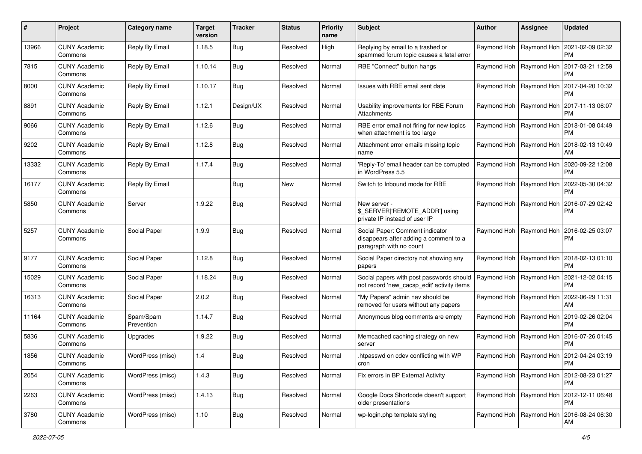| #     | Project                         | Category name           | <b>Target</b><br>version | <b>Tracker</b> | <b>Status</b> | <b>Priority</b><br>name | Subject                                                                                              | Author | <b>Assignee</b>           | <b>Updated</b>                                            |
|-------|---------------------------------|-------------------------|--------------------------|----------------|---------------|-------------------------|------------------------------------------------------------------------------------------------------|--------|---------------------------|-----------------------------------------------------------|
| 13966 | <b>CUNY Academic</b><br>Commons | Reply By Email          | 1.18.5                   | Bug            | Resolved      | High                    | Replying by email to a trashed or<br>spammed forum topic causes a fatal error                        |        | Raymond Hoh   Raymond Hoh | 2021-02-09 02:32<br><b>PM</b>                             |
| 7815  | <b>CUNY Academic</b><br>Commons | Reply By Email          | 1.10.14                  | Bug            | Resolved      | Normal                  | RBE "Connect" button hangs                                                                           |        | Raymond Hoh   Raymond Hoh | 2017-03-21 12:59<br><b>PM</b>                             |
| 8000  | <b>CUNY Academic</b><br>Commons | Reply By Email          | 1.10.17                  | Bug            | Resolved      | Normal                  | Issues with RBE email sent date                                                                      |        | Raymond Hoh   Raymond Hoh | 2017-04-20 10:32<br><b>PM</b>                             |
| 8891  | <b>CUNY Academic</b><br>Commons | Reply By Email          | 1.12.1                   | Design/UX      | Resolved      | Normal                  | Usability improvements for RBE Forum<br>Attachments                                                  |        | Raymond Hoh   Raymond Hoh | 2017-11-13 06:07<br><b>PM</b>                             |
| 9066  | <b>CUNY Academic</b><br>Commons | Reply By Email          | 1.12.6                   | Bug            | Resolved      | Normal                  | RBE error email not firing for new topics<br>when attachment is too large                            |        | Raymond Hoh   Raymond Hoh | 2018-01-08 04:49<br><b>PM</b>                             |
| 9202  | <b>CUNY Academic</b><br>Commons | Reply By Email          | 1.12.8                   | Bug            | Resolved      | Normal                  | Attachment error emails missing topic<br>name                                                        |        | Raymond Hoh   Raymond Hoh | 2018-02-13 10:49<br>AM                                    |
| 13332 | <b>CUNY Academic</b><br>Commons | Reply By Email          | 1.17.4                   | Bug            | Resolved      | Normal                  | 'Reply-To' email header can be corrupted<br>in WordPress 5.5                                         |        | Raymond Hoh   Raymond Hoh | 2020-09-22 12:08<br><b>PM</b>                             |
| 16177 | <b>CUNY Academic</b><br>Commons | Reply By Email          |                          | Bug            | New           | Normal                  | Switch to Inbound mode for RBE                                                                       |        | Raymond Hoh   Raymond Hoh | 2022-05-30 04:32<br><b>PM</b>                             |
| 5850  | <b>CUNY Academic</b><br>Commons | Server                  | 1.9.22                   | Bug            | Resolved      | Normal                  | New server -<br>\$_SERVER['REMOTE_ADDR'] using<br>private IP instead of user IP                      |        | Raymond Hoh   Raymond Hoh | 2016-07-29 02:42<br><b>PM</b>                             |
| 5257  | <b>CUNY Academic</b><br>Commons | Social Paper            | 1.9.9                    | Bug            | Resolved      | Normal                  | Social Paper: Comment indicator<br>disappears after adding a comment to a<br>paragraph with no count |        |                           | Raymond Hoh   Raymond Hoh   2016-02-25 03:07<br><b>PM</b> |
| 9177  | <b>CUNY Academic</b><br>Commons | Social Paper            | 1.12.8                   | Bug            | Resolved      | Normal                  | Social Paper directory not showing any<br>papers                                                     |        |                           | Raymond Hoh   Raymond Hoh   2018-02-13 01:10<br><b>PM</b> |
| 15029 | <b>CUNY Academic</b><br>Commons | Social Paper            | 1.18.24                  | Bug            | Resolved      | Normal                  | Social papers with post passwords should<br>not record 'new_cacsp_edit' activity items               |        | Raymond Hoh   Raymond Hoh | 2021-12-02 04:15<br><b>PM</b>                             |
| 16313 | <b>CUNY Academic</b><br>Commons | Social Paper            | 2.0.2                    | Bug            | Resolved      | Normal                  | "My Papers" admin nav should be<br>removed for users without any papers                              |        | Raymond Hoh   Raymond Hoh | 2022-06-29 11:31<br>AM                                    |
| 11164 | <b>CUNY Academic</b><br>Commons | Spam/Spam<br>Prevention | 1.14.7                   | Bug            | Resolved      | Normal                  | Anonymous blog comments are empty                                                                    |        | Raymond Hoh   Raymond Hoh | 2019-02-26 02:04<br><b>PM</b>                             |
| 5836  | <b>CUNY Academic</b><br>Commons | Upgrades                | 1.9.22                   | Bug            | Resolved      | Normal                  | Memcached caching strategy on new<br>server                                                          |        | Raymond Hoh   Raymond Hoh | 2016-07-26 01:45<br><b>PM</b>                             |
| 1856  | <b>CUNY Academic</b><br>Commons | WordPress (misc)        | 1.4                      | <b>Bug</b>     | Resolved      | Normal                  | htpasswd on cdev conflicting with WP<br>cron                                                         |        |                           | Raymond Hoh   Raymond Hoh   2012-04-24 03:19<br>PM        |
| 2054  | <b>CUNY Academic</b><br>Commons | WordPress (misc)        | 1.4.3                    | <b>Bug</b>     | Resolved      | Normal                  | Fix errors in BP External Activity                                                                   |        |                           | Raymond Hoh   Raymond Hoh   2012-08-23 01:27<br>PM        |
| 2263  | <b>CUNY Academic</b><br>Commons | WordPress (misc)        | 1.4.13                   | <b>Bug</b>     | Resolved      | Normal                  | Google Docs Shortcode doesn't support<br>older presentations                                         |        | Raymond Hoh   Raymond Hoh | 2012-12-11 06:48<br><b>PM</b>                             |
| 3780  | <b>CUNY Academic</b><br>Commons | WordPress (misc)        | 1.10                     | <b>Bug</b>     | Resolved      | Normal                  | wp-login.php template styling                                                                        |        |                           | Raymond Hoh   Raymond Hoh   2016-08-24 06:30<br>AM        |